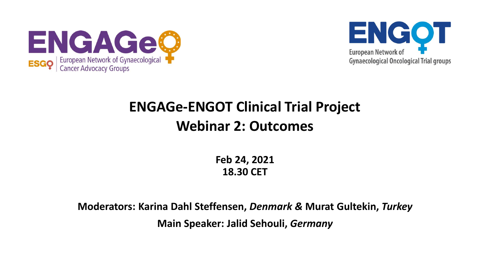



#### **ENGAGe-ENGOT Clinical Trial Project Webinar 2: Outcomes**

**Feb 24, 2021 18.30 CET**

**Moderators: Karina Dahl Steffensen,** *Denmark &* **Murat Gultekin,** *Turkey* **Main Speaker: Jalid Sehouli,** *Germany*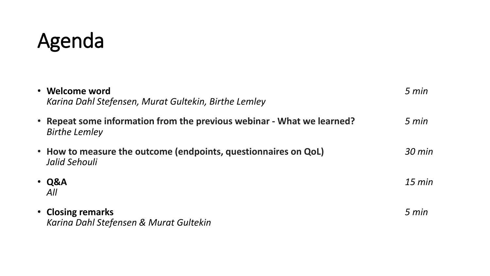## Agenda

| • Welcome word<br>Karina Dahl Stefensen, Murat Gultekin, Birthe Lemley                         | 5 min            |
|------------------------------------------------------------------------------------------------|------------------|
| • Repeat some information from the previous webinar - What we learned?<br><b>Birthe Lemley</b> | 5 min            |
| • How to measure the outcome (endpoints, questionnaires on QoL)<br>Jalid Sehouli               | $30 \text{ min}$ |
| $\cdot$ Q&A<br>All                                                                             | $15 \text{ min}$ |
| • Closing remarks<br>Karina Dahl Stefensen & Murat Gultekin                                    | 5 min            |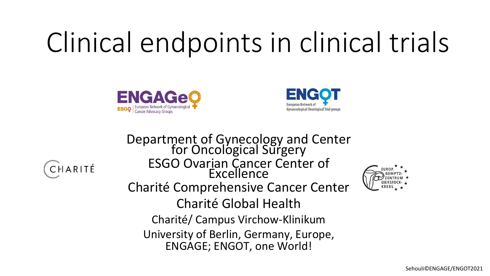# Clinical endpoints in clinical trials





CHARITÉ

Department of Gynecology and Center for Oncological Surgery ESGO Ovarian Cancer Center of Excellence Charité Comprehensive Cancer Center Charité Global Health Charité/ Campus Virchow-Klinikum University of Berlin, Germany, Europe, ENGAGE; ENGOT, one World!

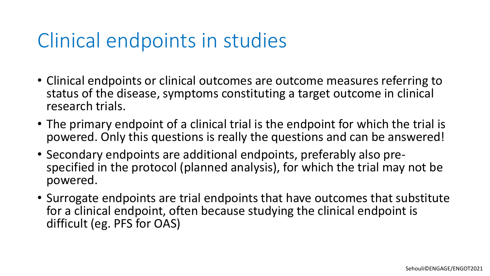## Clinical endpoints in studies

- Clinical endpoints or clinical outcomes are outcome measures referring to status of the disease, symptoms constituting a target outcome in clinical research trials.
- The primary endpoint of a clinical trial is the endpoint for which the trial is powered. Only this questions is really the questions and can be answered!
- Secondary endpoints are additional endpoints, preferably also prespecified in the protocol (planned analysis), for which the trial may not be powered.
- Surrogate endpoints are trial endpoints that have outcomes that substitute for a clinical endpoint, often because studying the clinical endpoint is difficult (eg. PFS for OAS)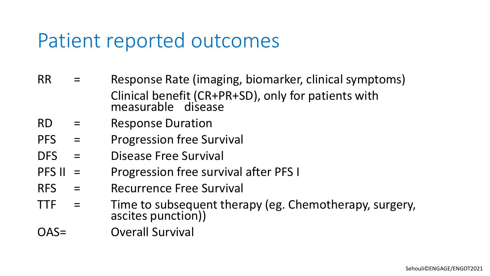## Patient reported outcomes

- RR = Response Rate (imaging, biomarker, clinical symptoms) Clinical benefit (CR+PR+SD), only for patients with measurable disease
- RD = Response Duration
- PFS = Progression free Survival
- DFS = Disease Free Survival
- PFS II = Progression free survival after PFS I
- RFS = Recurrence Free Survival
- TTF = Time to subsequent therapy (eg. Chemotherapy, surgery, ascites punction))
- OAS= Overall Survival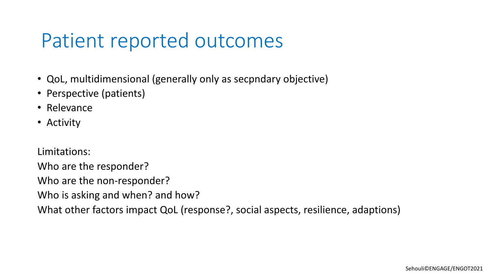### Patient reported outcomes

- QoL, multidimensional (generally only as secpndary objective)
- Perspective (patients)
- Relevance
- Activity

Limitations:

Who are the responder?

Who are the non-responder?

Who is asking and when? and how?

What other factors impact QoL (response?, social aspects, resilience, adaptions)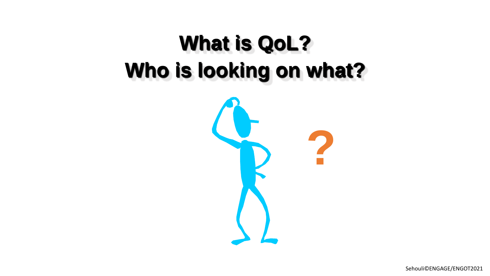## **What is QoL?** Who is looking on what?

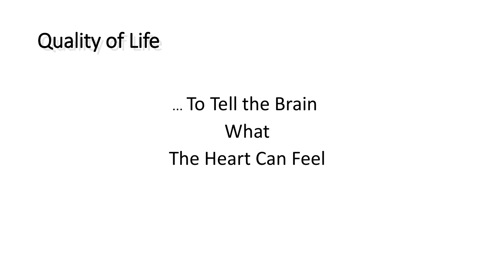## Quality of Life

## ... To Tell the Brain What The Heart Can Feel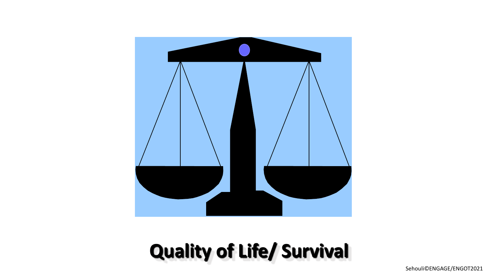

## **Quality of Life/ Survival**

Sehouli©ENGAGE/ENGOT2021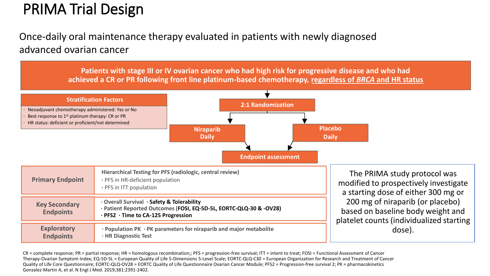#### PRIMA Trial Design

#### Once-daily oral maintenance therapy evaluated in patients with newly diagnosed advanced ovarian cancer

**Patients with stage III or IV ovarian cancer who had high risk for progressive disease and who had achieved a CR or PR following front line platinum-based chemotherapy, regardless of** *BRCA* **and HR status**



CR = complete response; PR = partial response; HR = homologous recombination;; PFS = progression-free survival; ITT = intent to treat; FOSI = Functional Assessment of Cancer Therapy-Ovarian Symptom Index; EQ-5D-5L = European Quality of Life 5-Dimensions 5-Level Scale; EORTC-QLQ-C30 = European Organization for Research and Treatment of Cancer Quality of Life Core Questionnaire; EORTC-QLQ-OV28 = EORTC Quality of Life Questionnaire Ovarian Cancer Module; PFS2 = Progression-free survival 2; PK = pharmacokinetics Gonzalez-Martin A, et al. N Engl J Med. 2019;381:2391-2402.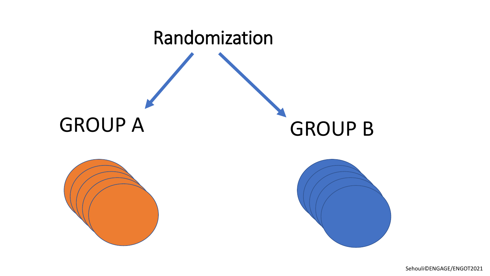

Sehouli©ENGAGE/ENGOT2021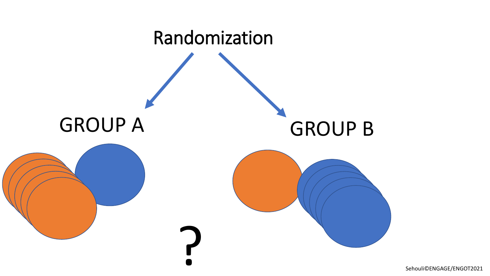

Sehouli©ENGAGE/ENGOT2021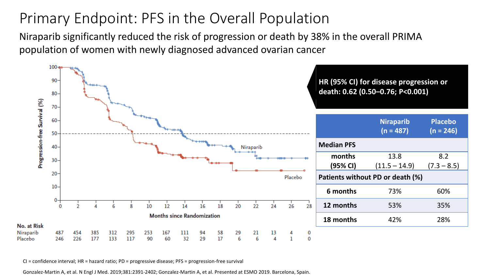#### Primary Endpoint: PFS in the Overall Population

Niraparib significantly reduced the risk of progression or death by 38% in the overall PRIMA population of women with newly diagnosed advanced ovarian cancer



CI = confidence interval; HR = hazard ratio; PD = progressive disease; PFS = progression-free survival

Gonzalez-Martin A, et al. N Engl J Med. 2019;381:2391-2402; Gonzalez-Martin A, et al. Presented at ESMO 2019. Barcelona, Spain.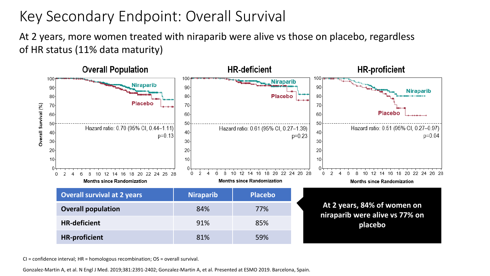#### Key Secondary Endpoint: Overall Survival

At 2 years, more women treated with niraparib were alive vs those on placebo, regardless of HR status (11% data maturity)



CI = confidence interval; HR = homologous recombination; OS = overall survival.

Gonzalez-Martin A, et al. N Engl J Med. 2019;381:2391-2402; Gonzalez-Martin A, et al. Presented at ESMO 2019. Barcelona, Spain.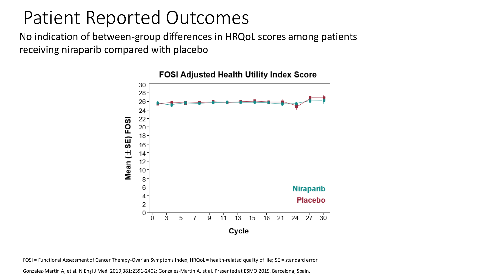#### Patient Reported Outcomes

No indication of between-group differences in HRQoL scores among patients receiving niraparib compared with placebo



**FOSI Adjusted Health Utility Index Score** 

FOSI = Functional Assessment of Cancer Therapy-Ovarian Symptoms Index; HRQoL = health-related quality of life; SE = standard error.

Gonzalez-Martin A, et al. N Engl J Med. 2019;381:2391-2402; Gonzalez-Martin A, et al. Presented at ESMO 2019. Barcelona, Spain.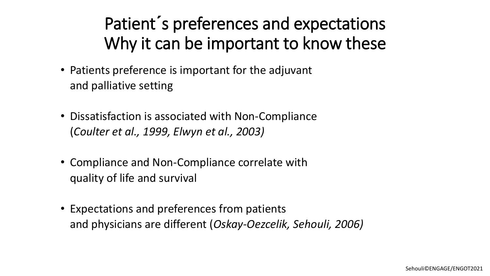#### Patient**´** s preferences and expectations Why it can be important to know these

- Patients preference is important for the adjuvant and palliative setting
- Dissatisfaction is associated with Non-Compliance (*Coulter et al., 1999, Elwyn et al., 2003)*
- Compliance and Non-Compliance correlate with quality of life and survival
- Expectations and preferences from patients and physicians are different (*Oskay-Oezcelik, Sehouli, 2006)*